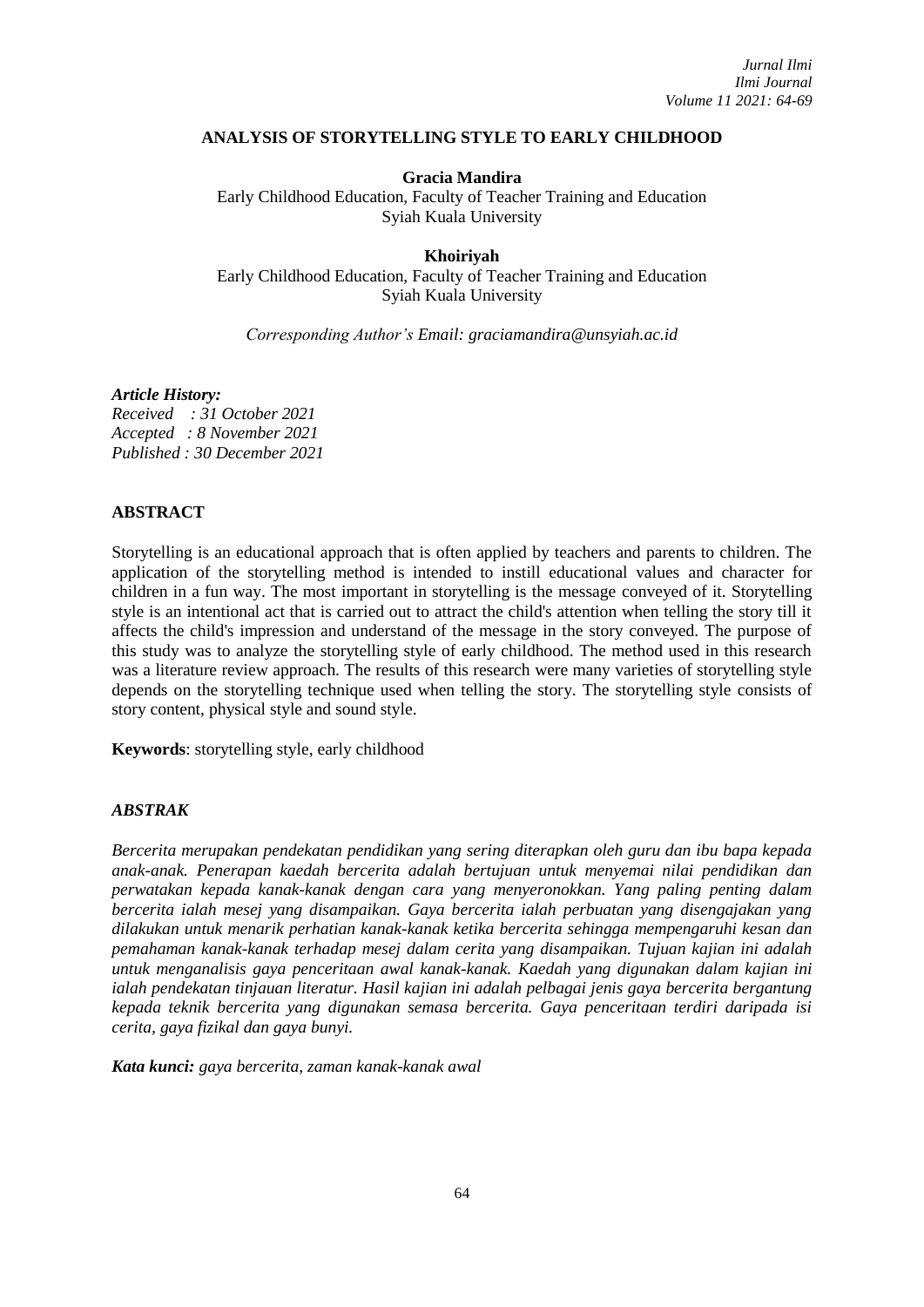### **ANALYSIS OF STORYTELLING STYLE TO EARLY CHILDHOOD**

**Gracia Mandira**

Early Childhood Education, Faculty of Teacher Training and Education Syiah Kuala University

**Khoiriyah**

Early Childhood Education, Faculty of Teacher Training and Education Syiah Kuala University

*Corresponding Author's Email: [graciamandira@unsyiah.ac.id](mailto:graciamandira@unsyiah.ac.id)*

#### *Article History:*

*Received : 31 October 2021 Accepted : 8 November 2021 Published : 30 December 2021*

### **ABSTRACT**

Storytelling is an educational approach that is often applied by teachers and parents to children. The application of the storytelling method is intended to instill educational values and character for children in a fun way. The most important in storytelling is the message conveyed of it. Storytelling style is an intentional act that is carried out to attract the child's attention when telling the story till it affects the child's impression and understand of the message in the story conveyed. The purpose of this study was to analyze the storytelling style of early childhood. The method used in this research was a literature review approach. The results of this research were many varieties of storytelling style depends on the storytelling technique used when telling the story. The storytelling style consists of story content, physical style and sound style.

**Keywords**: storytelling style, early childhood

### *ABSTRAK*

*Bercerita merupakan pendekatan pendidikan yang sering diterapkan oleh guru dan ibu bapa kepada anak-anak. Penerapan kaedah bercerita adalah bertujuan untuk menyemai nilai pendidikan dan perwatakan kepada kanak-kanak dengan cara yang menyeronokkan. Yang paling penting dalam bercerita ialah mesej yang disampaikan. Gaya bercerita ialah perbuatan yang disengajakan yang dilakukan untuk menarik perhatian kanak-kanak ketika bercerita sehingga mempengaruhi kesan dan pemahaman kanak-kanak terhadap mesej dalam cerita yang disampaikan. Tujuan kajian ini adalah untuk menganalisis gaya penceritaan awal kanak-kanak. Kaedah yang digunakan dalam kajian ini ialah pendekatan tinjauan literatur. Hasil kajian ini adalah pelbagai jenis gaya bercerita bergantung kepada teknik bercerita yang digunakan semasa bercerita. Gaya penceritaan terdiri daripada isi cerita, gaya fizikal dan gaya bunyi.*

*Kata kunci: gaya bercerita, zaman kanak-kanak awal*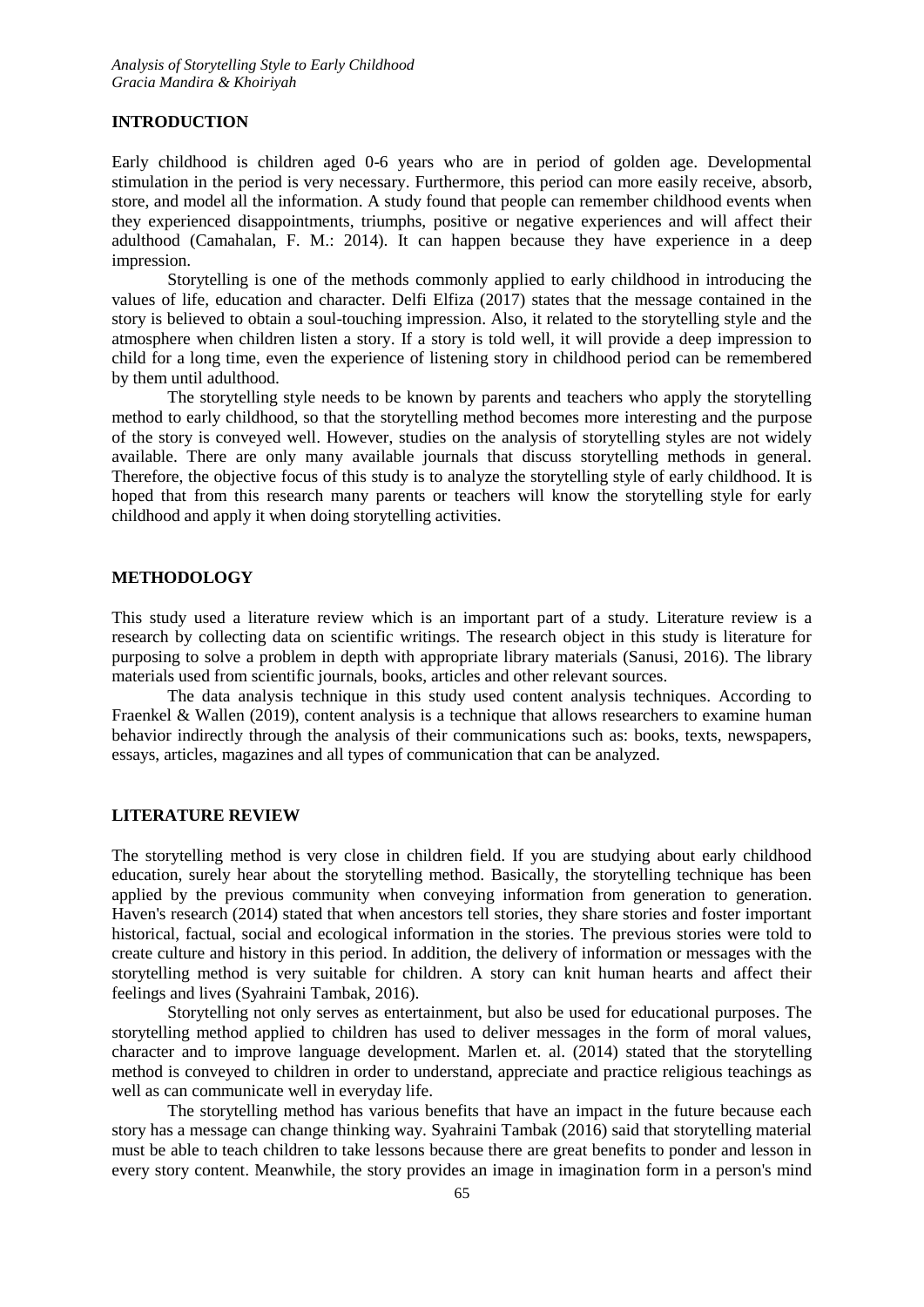#### **INTRODUCTION**

Early childhood is children aged 0-6 years who are in period of golden age. Developmental stimulation in the period is very necessary. Furthermore, this period can more easily receive, absorb, store, and model all the information. A study found that people can remember childhood events when they experienced disappointments, triumphs, positive or negative experiences and will affect their adulthood (Camahalan, F. M.: 2014). It can happen because they have experience in a deep impression.

Storytelling is one of the methods commonly applied to early childhood in introducing the values of life, education and character. Delfi Elfiza (2017) states that the message contained in the story is believed to obtain a soul-touching impression. Also, it related to the storytelling style and the atmosphere when children listen a story. If a story is told well, it will provide a deep impression to child for a long time, even the experience of listening story in childhood period can be remembered by them until adulthood.

The storytelling style needs to be known by parents and teachers who apply the storytelling method to early childhood, so that the storytelling method becomes more interesting and the purpose of the story is conveyed well. However, studies on the analysis of storytelling styles are not widely available. There are only many available journals that discuss storytelling methods in general. Therefore, the objective focus of this study is to analyze the storytelling style of early childhood. It is hoped that from this research many parents or teachers will know the storytelling style for early childhood and apply it when doing storytelling activities.

# **METHODOLOGY**

This study used a literature review which is an important part of a study. Literature review is a research by collecting data on scientific writings. The research object in this study is literature for purposing to solve a problem in depth with appropriate library materials (Sanusi, 2016). The library materials used from scientific journals, books, articles and other relevant sources.

The data analysis technique in this study used content analysis techniques. According to Fraenkel & Wallen (2019), content analysis is a technique that allows researchers to examine human behavior indirectly through the analysis of their communications such as: books, texts, newspapers, essays, articles, magazines and all types of communication that can be analyzed.

#### **LITERATURE REVIEW**

The storytelling method is very close in children field. If you are studying about early childhood education, surely hear about the storytelling method. Basically, the storytelling technique has been applied by the previous community when conveying information from generation to generation. Haven's research (2014) stated that when ancestors tell stories, they share stories and foster important historical, factual, social and ecological information in the stories. The previous stories were told to create culture and history in this period. In addition, the delivery of information or messages with the storytelling method is very suitable for children. A story can knit human hearts and affect their feelings and lives (Syahraini Tambak, 2016).

Storytelling not only serves as entertainment, but also be used for educational purposes. The storytelling method applied to children has used to deliver messages in the form of moral values, character and to improve language development. Marlen et. al. (2014) stated that the storytelling method is conveyed to children in order to understand, appreciate and practice religious teachings as well as can communicate well in everyday life.

The storytelling method has various benefits that have an impact in the future because each story has a message can change thinking way. Syahraini Tambak (2016) said that storytelling material must be able to teach children to take lessons because there are great benefits to ponder and lesson in every story content. Meanwhile, the story provides an image in imagination form in a person's mind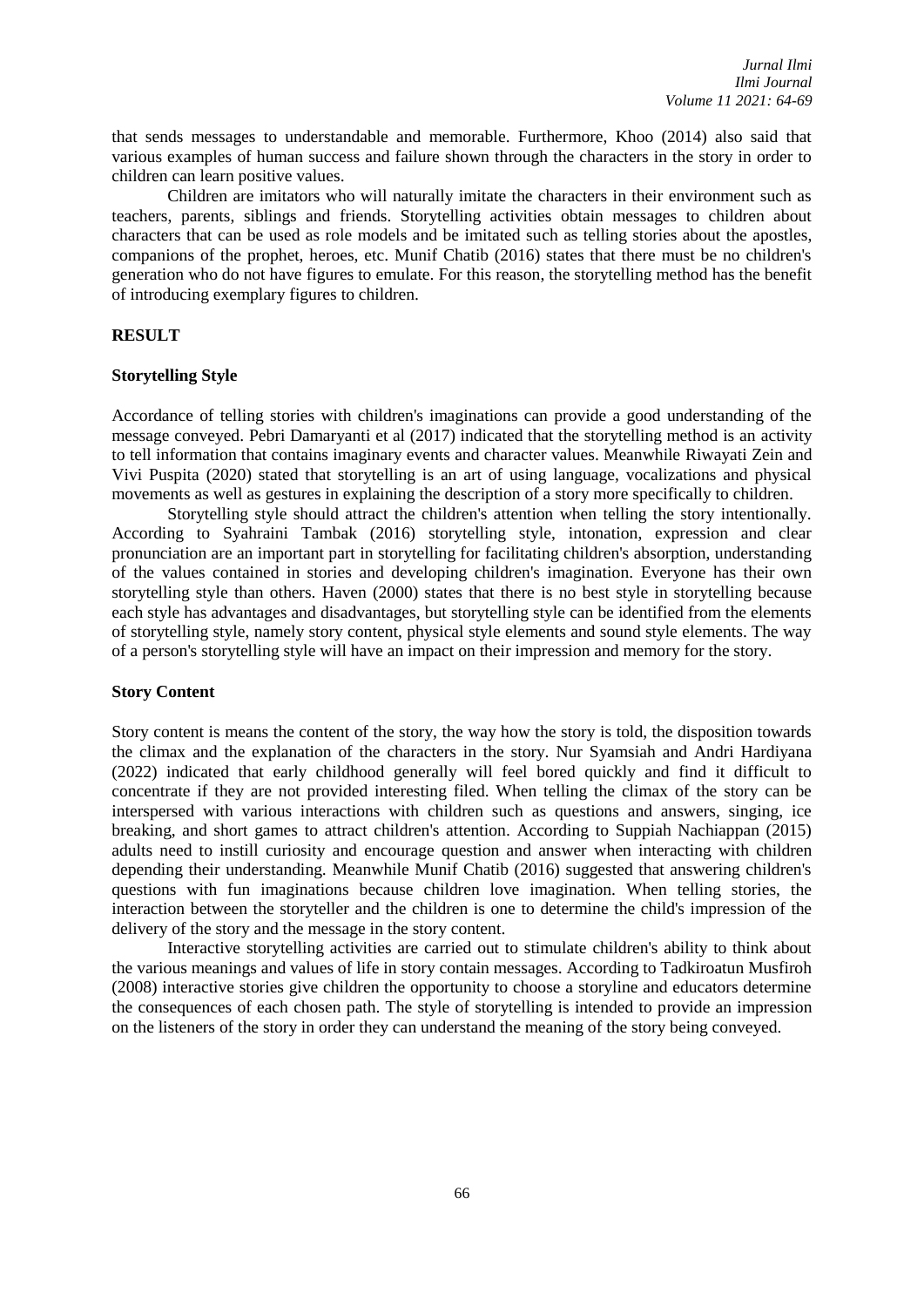that sends messages to understandable and memorable. Furthermore, Khoo (2014) also said that various examples of human success and failure shown through the characters in the story in order to children can learn positive values.

Children are imitators who will naturally imitate the characters in their environment such as teachers, parents, siblings and friends. Storytelling activities obtain messages to children about characters that can be used as role models and be imitated such as telling stories about the apostles, companions of the prophet, heroes, etc. Munif Chatib (2016) states that there must be no children's generation who do not have figures to emulate. For this reason, the storytelling method has the benefit of introducing exemplary figures to children.

### **RESULT**

#### **Storytelling Style**

Accordance of telling stories with children's imaginations can provide a good understanding of the message conveyed. Pebri Damaryanti et al (2017) indicated that the storytelling method is an activity to tell information that contains imaginary events and character values. Meanwhile Riwayati Zein and Vivi Puspita (2020) stated that storytelling is an art of using language, vocalizations and physical movements as well as gestures in explaining the description of a story more specifically to children.

Storytelling style should attract the children's attention when telling the story intentionally. According to Syahraini Tambak (2016) storytelling style, intonation, expression and clear pronunciation are an important part in storytelling for facilitating children's absorption, understanding of the values contained in stories and developing children's imagination. Everyone has their own storytelling style than others. Haven (2000) states that there is no best style in storytelling because each style has advantages and disadvantages, but storytelling style can be identified from the elements of storytelling style, namely story content, physical style elements and sound style elements. The way of a person's storytelling style will have an impact on their impression and memory for the story.

#### **Story Content**

Story content is means the content of the story, the way how the story is told, the disposition towards the climax and the explanation of the characters in the story. Nur Syamsiah and Andri Hardiyana (2022) indicated that early childhood generally will feel bored quickly and find it difficult to concentrate if they are not provided interesting filed. When telling the climax of the story can be interspersed with various interactions with children such as questions and answers, singing, ice breaking, and short games to attract children's attention. According to Suppiah Nachiappan (2015) adults need to instill curiosity and encourage question and answer when interacting with children depending their understanding. Meanwhile Munif Chatib (2016) suggested that answering children's questions with fun imaginations because children love imagination. When telling stories, the interaction between the storyteller and the children is one to determine the child's impression of the delivery of the story and the message in the story content.

Interactive storytelling activities are carried out to stimulate children's ability to think about the various meanings and values of life in story contain messages. According to Tadkiroatun Musfiroh (2008) interactive stories give children the opportunity to choose a storyline and educators determine the consequences of each chosen path. The style of storytelling is intended to provide an impression on the listeners of the story in order they can understand the meaning of the story being conveyed.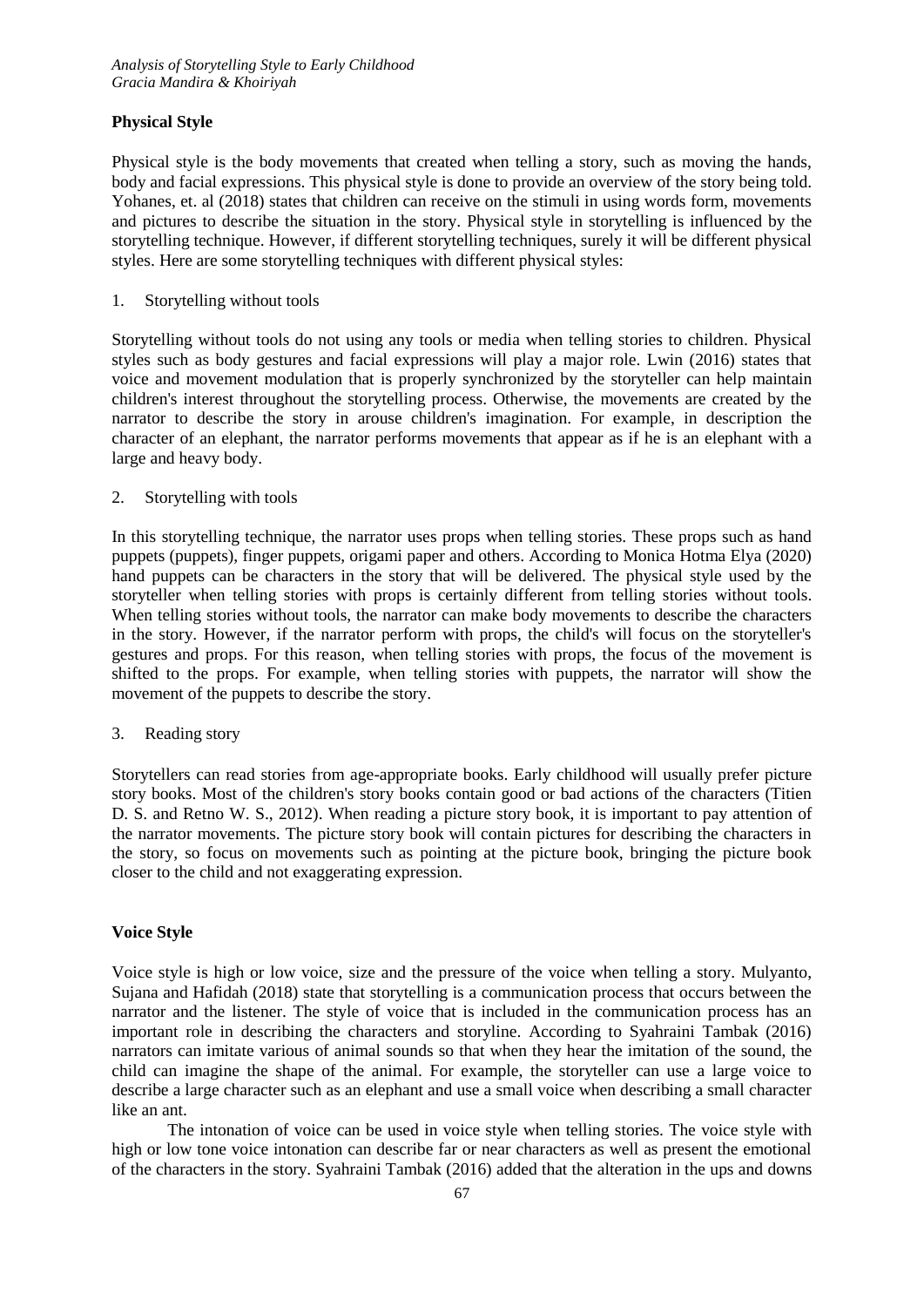# **Physical Style**

Physical style is the body movements that created when telling a story, such as moving the hands, body and facial expressions. This physical style is done to provide an overview of the story being told. Yohanes, et. al (2018) states that children can receive on the stimuli in using words form, movements and pictures to describe the situation in the story. Physical style in storytelling is influenced by the storytelling technique. However, if different storytelling techniques, surely it will be different physical styles. Here are some storytelling techniques with different physical styles:

## 1. Storytelling without tools

Storytelling without tools do not using any tools or media when telling stories to children. Physical styles such as body gestures and facial expressions will play a major role. Lwin (2016) states that voice and movement modulation that is properly synchronized by the storyteller can help maintain children's interest throughout the storytelling process. Otherwise, the movements are created by the narrator to describe the story in arouse children's imagination. For example, in description the character of an elephant, the narrator performs movements that appear as if he is an elephant with a large and heavy body.

# 2. Storytelling with tools

In this storytelling technique, the narrator uses props when telling stories. These props such as hand puppets (puppets), finger puppets, origami paper and others. According to Monica Hotma Elya (2020) hand puppets can be characters in the story that will be delivered. The physical style used by the storyteller when telling stories with props is certainly different from telling stories without tools. When telling stories without tools, the narrator can make body movements to describe the characters in the story. However, if the narrator perform with props, the child's will focus on the storyteller's gestures and props. For this reason, when telling stories with props, the focus of the movement is shifted to the props. For example, when telling stories with puppets, the narrator will show the movement of the puppets to describe the story.

# 3. Reading story

Storytellers can read stories from age-appropriate books. Early childhood will usually prefer picture story books. Most of the children's story books contain good or bad actions of the characters (Titien D. S. and Retno W. S., 2012). When reading a picture story book, it is important to pay attention of the narrator movements. The picture story book will contain pictures for describing the characters in the story, so focus on movements such as pointing at the picture book, bringing the picture book closer to the child and not exaggerating expression.

# **Voice Style**

Voice style is high or low voice, size and the pressure of the voice when telling a story. Mulyanto, Sujana and Hafidah (2018) state that storytelling is a communication process that occurs between the narrator and the listener. The style of voice that is included in the communication process has an important role in describing the characters and storyline. According to Syahraini Tambak (2016) narrators can imitate various of animal sounds so that when they hear the imitation of the sound, the child can imagine the shape of the animal. For example, the storyteller can use a large voice to describe a large character such as an elephant and use a small voice when describing a small character like an ant.

The intonation of voice can be used in voice style when telling stories. The voice style with high or low tone voice intonation can describe far or near characters as well as present the emotional of the characters in the story. Syahraini Tambak (2016) added that the alteration in the ups and downs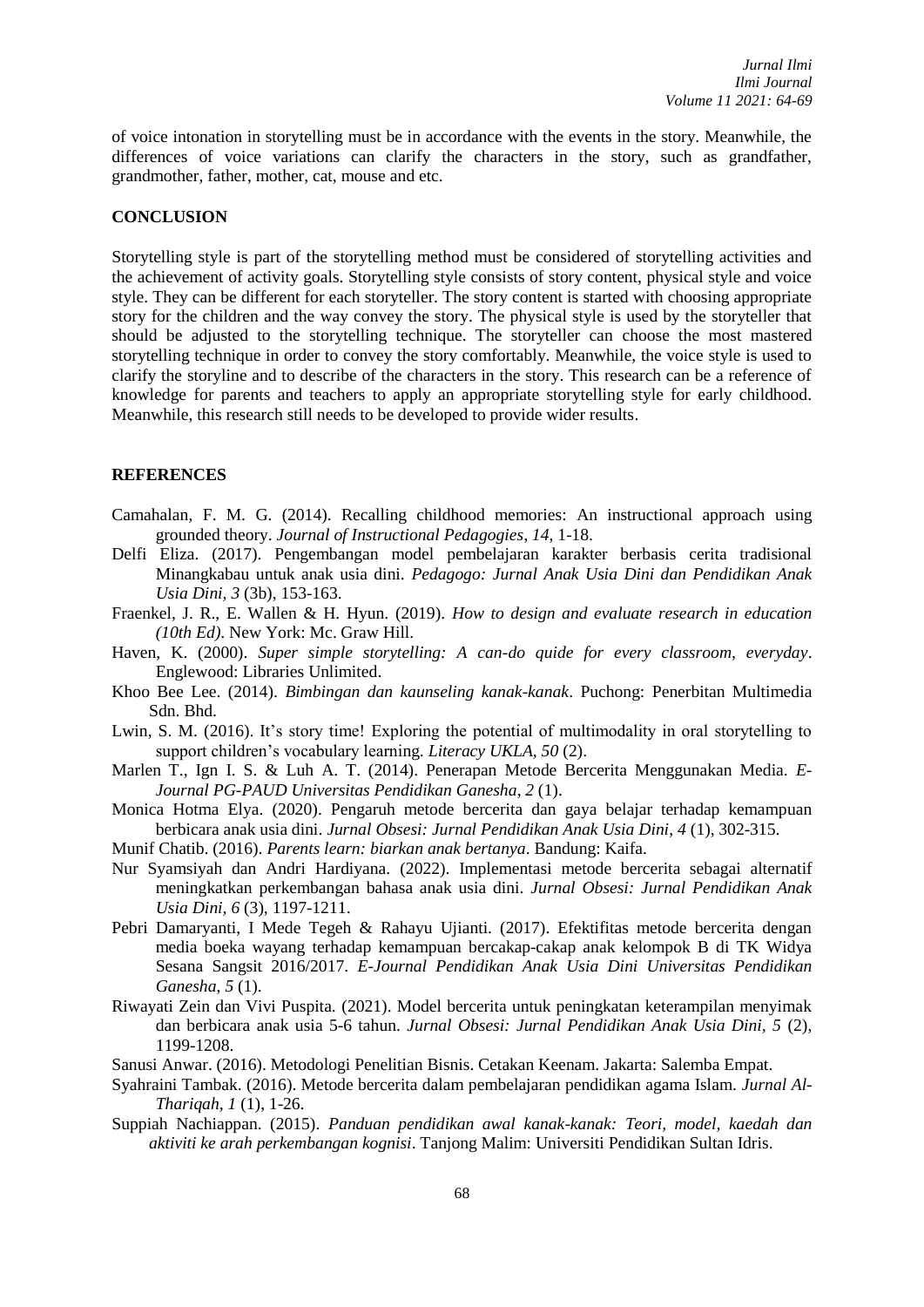of voice intonation in storytelling must be in accordance with the events in the story. Meanwhile, the differences of voice variations can clarify the characters in the story, such as grandfather, grandmother, father, mother, cat, mouse and etc.

### **CONCLUSION**

Storytelling style is part of the storytelling method must be considered of storytelling activities and the achievement of activity goals. Storytelling style consists of story content, physical style and voice style. They can be different for each storyteller. The story content is started with choosing appropriate story for the children and the way convey the story. The physical style is used by the storyteller that should be adjusted to the storytelling technique. The storyteller can choose the most mastered storytelling technique in order to convey the story comfortably. Meanwhile, the voice style is used to clarify the storyline and to describe of the characters in the story. This research can be a reference of knowledge for parents and teachers to apply an appropriate storytelling style for early childhood. Meanwhile, this research still needs to be developed to provide wider results.

### **REFERENCES**

- Camahalan, F. M. G. (2014). Recalling childhood memories: An instructional approach using grounded theory. *Journal of Instructional Pedagogies*, *14*, 1-18.
- Delfi Eliza. (2017). Pengembangan model pembelajaran karakter berbasis cerita tradisional Minangkabau untuk anak usia dini. *Pedagogo: Jurnal Anak Usia Dini dan Pendidikan Anak Usia Dini, 3* (3b), 153-163.
- Fraenkel, J. R., E. Wallen & H. Hyun. (2019). *How to design and evaluate research in education (10th Ed)*. New York: Mc. Graw Hill.
- Haven, K. (2000). *Super simple storytelling: A can-do quide for every classroom, everyday*. Englewood: Libraries Unlimited.
- Khoo Bee Lee. (2014). *Bimbingan dan kaunseling kanak-kanak*. Puchong: Penerbitan Multimedia Sdn. Bhd.
- Lwin, S. M. (2016). It's story time! Exploring the potential of multimodality in oral storytelling to support children's vocabulary learning. *Literacy UKLA, 50* (2).
- Marlen T., Ign I. S. & Luh A. T. (2014). Penerapan Metode Bercerita Menggunakan Media. *E-Journal PG-PAUD Universitas Pendidikan Ganesha*, *2* (1).
- Monica Hotma Elya. (2020). Pengaruh metode bercerita dan gaya belajar terhadap kemampuan berbicara anak usia dini. *Jurnal Obsesi: Jurnal Pendidikan Anak Usia Dini, 4* (1), 302-315.
- Munif Chatib. (2016). *Parents learn: biarkan anak bertanya*. Bandung: Kaifa.
- Nur Syamsiyah dan Andri Hardiyana. (2022). Implementasi metode bercerita sebagai alternatif meningkatkan perkembangan bahasa anak usia dini. *Jurnal Obsesi: Jurnal Pendidikan Anak Usia Dini, 6* (3), 1197-1211.
- Pebri Damaryanti, I Mede Tegeh & Rahayu Ujianti. (2017). Efektifitas metode bercerita dengan media boeka wayang terhadap kemampuan bercakap-cakap anak kelompok B di TK Widya Sesana Sangsit 2016/2017. *E-Journal Pendidikan Anak Usia Dini Universitas Pendidikan Ganesha*, *5* (1).
- Riwayati Zein dan Vivi Puspita. (2021). Model bercerita untuk peningkatan keterampilan menyimak dan berbicara anak usia 5-6 tahun. *Jurnal Obsesi: Jurnal Pendidikan Anak Usia Dini, 5* (2), 1199-1208.
- Sanusi Anwar. (2016). Metodologi Penelitian Bisnis. Cetakan Keenam. Jakarta: Salemba Empat.
- Syahraini Tambak. (2016). Metode bercerita dalam pembelajaran pendidikan agama Islam. *Jurnal Al-Thariqah, 1* (1), 1-26.
- Suppiah Nachiappan. (2015). *Panduan pendidikan awal kanak-kanak: Teori, model, kaedah dan aktiviti ke arah perkembangan kognisi*. Tanjong Malim: Universiti Pendidikan Sultan Idris.